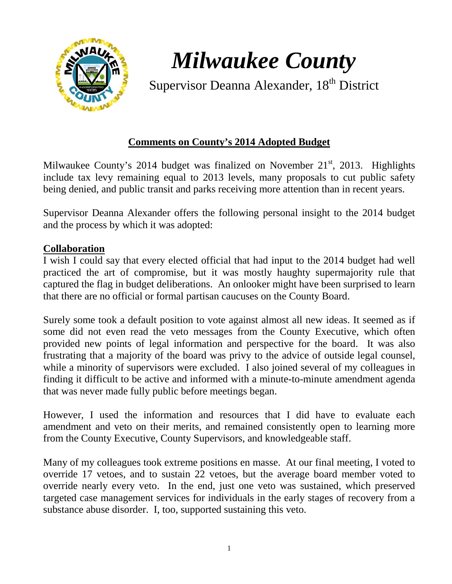

*Milwaukee County*

Supervisor Deanna Alexander, 18<sup>th</sup> District

# **Comments on County's 2014 Adopted Budget**

Milwaukee County's 2014 budget was finalized on November  $21<sup>st</sup>$ , 2013. Highlights include tax levy remaining equal to 2013 levels, many proposals to cut public safety being denied, and public transit and parks receiving more attention than in recent years.

Supervisor Deanna Alexander offers the following personal insight to the 2014 budget and the process by which it was adopted:

## **Collaboration**

I wish I could say that every elected official that had input to the 2014 budget had well practiced the art of compromise, but it was mostly haughty supermajority rule that captured the flag in budget deliberations. An onlooker might have been surprised to learn that there are no official or formal partisan caucuses on the County Board.

Surely some took a default position to vote against almost all new ideas. It seemed as if some did not even read the veto messages from the County Executive, which often provided new points of legal information and perspective for the board. It was also frustrating that a majority of the board was privy to the advice of outside legal counsel, while a minority of supervisors were excluded. I also joined several of my colleagues in finding it difficult to be active and informed with a minute-to-minute amendment agenda that was never made fully public before meetings began.

However, I used the information and resources that I did have to evaluate each amendment and veto on their merits, and remained consistently open to learning more from the County Executive, County Supervisors, and knowledgeable staff.

Many of my colleagues took extreme positions en masse. At our final meeting, I voted to override 17 vetoes, and to sustain 22 vetoes, but the average board member voted to override nearly every veto. In the end, just one veto was sustained, which preserved targeted case management services for individuals in the early stages of recovery from a substance abuse disorder. I, too, supported sustaining this veto.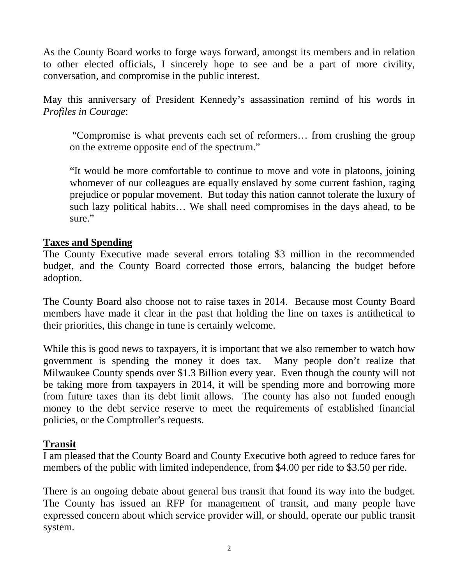As the County Board works to forge ways forward, amongst its members and in relation to other elected officials, I sincerely hope to see and be a part of more civility, conversation, and compromise in the public interest.

May this anniversary of President Kennedy's assassination remind of his words in *Profiles in Courage*:

"Compromise is what prevents each set of reformers… from crushing the group on the extreme opposite end of the spectrum."

"It would be more comfortable to continue to move and vote in platoons, joining whomever of our colleagues are equally enslaved by some current fashion, raging prejudice or popular movement. But today this nation cannot tolerate the luxury of such lazy political habits… We shall need compromises in the days ahead, to be sure."

#### **Taxes and Spending**

The County Executive made several errors totaling \$3 million in the recommended budget, and the County Board corrected those errors, balancing the budget before adoption.

The County Board also choose not to raise taxes in 2014. Because most County Board members have made it clear in the past that holding the line on taxes is antithetical to their priorities, this change in tune is certainly welcome.

While this is good news to taxpayers, it is important that we also remember to watch how government is spending the money it does tax. Many people don't realize that Milwaukee County spends over \$1.3 Billion every year. Even though the county will not be taking more from taxpayers in 2014, it will be spending more and borrowing more from future taxes than its debt limit allows. The county has also not funded enough money to the debt service reserve to meet the requirements of established financial policies, or the Comptroller's requests.

#### **Transit**

I am pleased that the County Board and County Executive both agreed to reduce fares for members of the public with limited independence, from \$4.00 per ride to \$3.50 per ride.

There is an ongoing debate about general bus transit that found its way into the budget. The County has issued an RFP for management of transit, and many people have expressed concern about which service provider will, or should, operate our public transit system.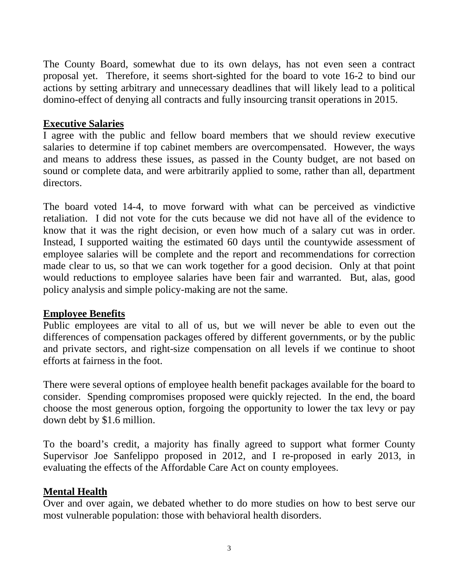The County Board, somewhat due to its own delays, has not even seen a contract proposal yet. Therefore, it seems short-sighted for the board to vote 16-2 to bind our actions by setting arbitrary and unnecessary deadlines that will likely lead to a political domino-effect of denying all contracts and fully insourcing transit operations in 2015.

### **Executive Salaries**

I agree with the public and fellow board members that we should review executive salaries to determine if top cabinet members are overcompensated. However, the ways and means to address these issues, as passed in the County budget, are not based on sound or complete data, and were arbitrarily applied to some, rather than all, department directors.

The board voted 14-4, to move forward with what can be perceived as vindictive retaliation. I did not vote for the cuts because we did not have all of the evidence to know that it was the right decision, or even how much of a salary cut was in order. Instead, I supported waiting the estimated 60 days until the countywide assessment of employee salaries will be complete and the report and recommendations for correction made clear to us, so that we can work together for a good decision. Only at that point would reductions to employee salaries have been fair and warranted. But, alas, good policy analysis and simple policy-making are not the same.

## **Employee Benefits**

Public employees are vital to all of us, but we will never be able to even out the differences of compensation packages offered by different governments, or by the public and private sectors, and right-size compensation on all levels if we continue to shoot efforts at fairness in the foot.

There were several options of employee health benefit packages available for the board to consider. Spending compromises proposed were quickly rejected. In the end, the board choose the most generous option, forgoing the opportunity to lower the tax levy or pay down debt by \$1.6 million.

To the board's credit, a majority has finally agreed to support what former County Supervisor Joe Sanfelippo proposed in 2012, and I re-proposed in early 2013, in evaluating the effects of the Affordable Care Act on county employees.

## **Mental Health**

Over and over again, we debated whether to do more studies on how to best serve our most vulnerable population: those with behavioral health disorders.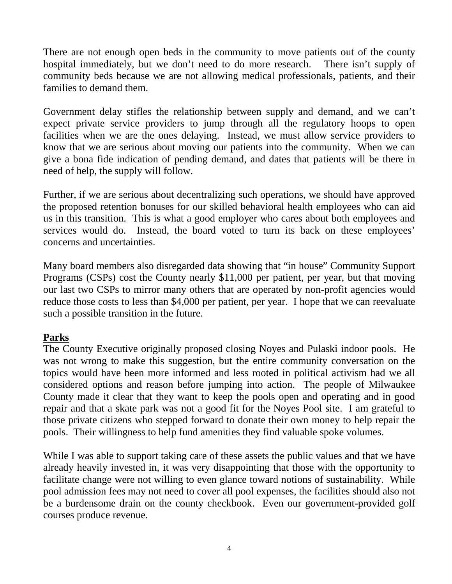There are not enough open beds in the community to move patients out of the county hospital immediately, but we don't need to do more research. There isn't supply of community beds because we are not allowing medical professionals, patients, and their families to demand them.

Government delay stifles the relationship between supply and demand, and we can't expect private service providers to jump through all the regulatory hoops to open facilities when we are the ones delaying. Instead, we must allow service providers to know that we are serious about moving our patients into the community. When we can give a bona fide indication of pending demand, and dates that patients will be there in need of help, the supply will follow.

Further, if we are serious about decentralizing such operations, we should have approved the proposed retention bonuses for our skilled behavioral health employees who can aid us in this transition. This is what a good employer who cares about both employees and services would do. Instead, the board voted to turn its back on these employees' concerns and uncertainties.

Many board members also disregarded data showing that "in house" Community Support Programs (CSPs) cost the County nearly \$11,000 per patient, per year, but that moving our last two CSPs to mirror many others that are operated by non-profit agencies would reduce those costs to less than \$4,000 per patient, per year. I hope that we can reevaluate such a possible transition in the future.

## **Parks**

The County Executive originally proposed closing Noyes and Pulaski indoor pools. He was not wrong to make this suggestion, but the entire community conversation on the topics would have been more informed and less rooted in political activism had we all considered options and reason before jumping into action. The people of Milwaukee County made it clear that they want to keep the pools open and operating and in good repair and that a skate park was not a good fit for the Noyes Pool site. I am grateful to those private citizens who stepped forward to donate their own money to help repair the pools. Their willingness to help fund amenities they find valuable spoke volumes.

While I was able to support taking care of these assets the public values and that we have already heavily invested in, it was very disappointing that those with the opportunity to facilitate change were not willing to even glance toward notions of sustainability. While pool admission fees may not need to cover all pool expenses, the facilities should also not be a burdensome drain on the county checkbook. Even our government-provided golf courses produce revenue.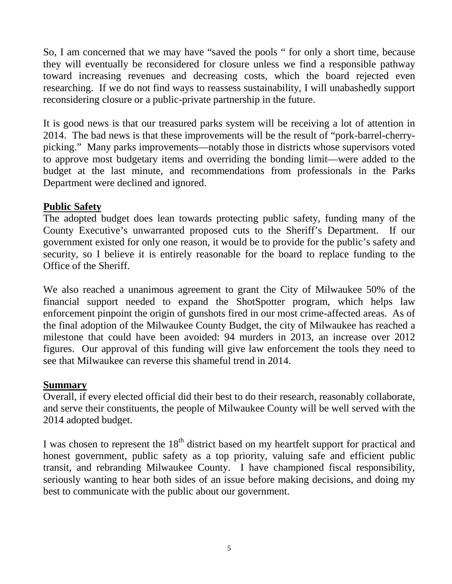So, I am concerned that we may have "saved the pools " for only a short time, because they will eventually be reconsidered for closure unless we find a responsible pathway toward increasing revenues and decreasing costs, which the board rejected even researching. If we do not find ways to reassess sustainability, I will unabashedly support reconsidering closure or a public-private partnership in the future.

It is good news is that our treasured parks system will be receiving a lot of attention in 2014. The bad news is that these improvements will be the result of "pork-barrel-cherrypicking." Many parks improvements—notably those in districts whose supervisors voted to approve most budgetary items and overriding the bonding limit—were added to the budget at the last minute, and recommendations from professionals in the Parks Department were declined and ignored.

#### **Public Safety**

The adopted budget does lean towards protecting public safety, funding many of the County Executive's unwarranted proposed cuts to the Sheriff's Department. If our government existed for only one reason, it would be to provide for the public's safety and security, so I believe it is entirely reasonable for the board to replace funding to the Office of the Sheriff.

We also reached a unanimous agreement to grant the City of Milwaukee 50% of the financial support needed to expand the ShotSpotter program, which helps law enforcement pinpoint the origin of gunshots fired in our most crime-affected areas. As of the final adoption of the Milwaukee County Budget, the city of Milwaukee has reached a milestone that could have been avoided: 94 murders in 2013, an increase over 2012 figures. Our approval of this funding will give law enforcement the tools they need to see that Milwaukee can reverse this shameful trend in 2014.

#### **Summary**

Overall, if every elected official did their best to do their research, reasonably collaborate, and serve their constituents, the people of Milwaukee County will be well served with the 2014 adopted budget.

I was chosen to represent the  $18<sup>th</sup>$  district based on my heartfelt support for practical and honest government, public safety as a top priority, valuing safe and efficient public transit, and rebranding Milwaukee County. I have championed fiscal responsibility, seriously wanting to hear both sides of an issue before making decisions, and doing my best to communicate with the public about our government.